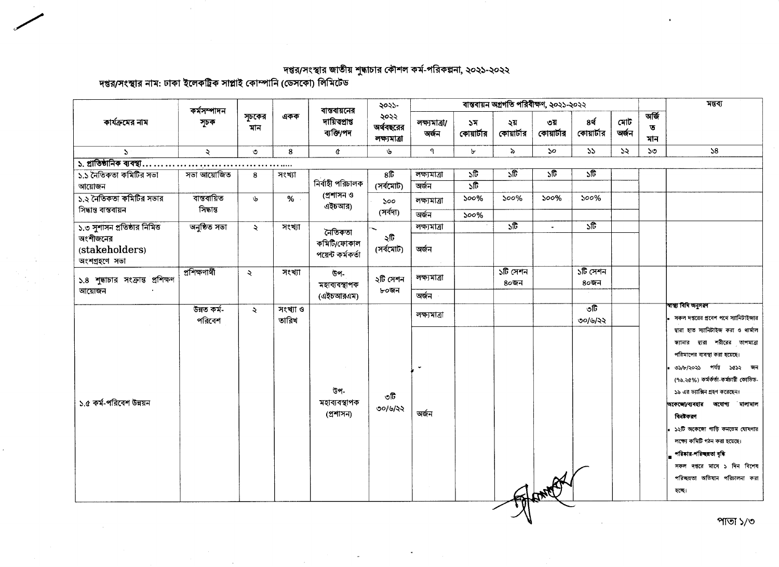দপ্তর/সংস্থার জাতীয় শুদ্ধাচার কৌশল কর্ম-পরিকল্পনা, ২০২১-২০২২<br>দপ্তর/সংস্থার নাম: ঢাকা ইলেকট্রিক সাপ্লাই কোম্পানি (ডেসকো) লিমিটেড

 $\sim$   $\sim$ 

| কার্যক্রমের নাম                             | কৰ্মসম্পাদন<br>সূচক   |                     | একক               | বান্তবায়নের<br>দায়িতপ্ৰাপ্ত<br>ব্যক্তি/পদ | ২০২১-<br>২০২২<br>অর্থবছরের<br>লক্ষ্যমাত্ৰা | বান্তবায়ন অগ্রগতি পরিবীক্ষণ, ২০২১-২০২২ |                                         |                           |                           |                           |              |                   | মন্তব্য                                                                                             |
|---------------------------------------------|-----------------------|---------------------|-------------------|---------------------------------------------|--------------------------------------------|-----------------------------------------|-----------------------------------------|---------------------------|---------------------------|---------------------------|--------------|-------------------|-----------------------------------------------------------------------------------------------------|
|                                             |                       | সূচকের<br>মান       |                   |                                             |                                            | লক্ষ্যমাত্ৰা/<br>অৰ্জন                  | 57<br>কোয়ার্টার                        | ২য়<br>কোয়ার্টার         | ৩য়<br>কোয়ার্টার         | 8र्थ<br>কোয়ার্টার        | মোট<br>অৰ্জন | অৰ্জি<br>ত<br>মান |                                                                                                     |
| $\Delta$                                    | $\mathcal{L}$         | $\circ$             | 8                 | ¢                                           | ىلى                                        | ٩                                       | Ъ                                       | $\lambda$                 | $50^{\circ}$              | 55                        | ১২           | ১৩                | 58                                                                                                  |
| ১. প্রাতিষ্ঠানিক ব্যবস্থা.                  | .                     |                     |                   |                                             |                                            |                                         |                                         |                           |                           |                           |              |                   |                                                                                                     |
| ১.১ নৈতিকতা কমিটির সভা<br>আয়োজন            | সভা আয়োজিত           | 8                   | সংখ্যা            | নিৰ্বাহী পরিচালক                            | $8\overline{6}$<br>(সৰ্বমোট)               | লক্ষ্যমাত্ৰা<br>অৰ্জন                   | $\sqrt{6}$<br>$\overline{\mathfrak{w}}$ | ১টি                       | $\overline{\mathfrak{w}}$ | $\overline{\mathfrak{g}}$ |              |                   |                                                                                                     |
| ১.২ নৈতিকতা কমিটির সভার                     | ৰান্তবায়িত           |                     |                   | (প্ৰশাসন ও                                  | $\mathsf{yoo}$<br>(সৰ্বদা)                 |                                         |                                         | $500\%$                   | $500\%$                   | $500\%$                   |              |                   |                                                                                                     |
| সিদ্ধান্ত বাস্তবায়ন                        | সিদ্ধান্ত             | ىل                  | %                 | এইচআর)                                      |                                            | লক্ষ্যমাত্ৰা                            | $500\%$                                 |                           |                           |                           |              |                   |                                                                                                     |
|                                             |                       |                     |                   |                                             |                                            | অৰ্জন                                   | $500\%$                                 |                           |                           |                           |              |                   |                                                                                                     |
| ১.৩ সুশাসন প্রতিষ্ঠার নিমিত্ত               | অনুষ্ঠিত সভা          | $\ddot{\mathbf{z}}$ | সংখ্যা            | নৈতিকতা                                     |                                            | লক্ষ্যমাত্ৰা                            |                                         | $\overline{\mathfrak{w}}$ | $\blacksquare$            | $\overline{\mathfrak{g}}$ |              |                   |                                                                                                     |
| অংশীজনের<br>(stakeholders)<br>অংশগ্ৰহণে সভা |                       |                     |                   | কমিটি/ফোকাল<br>পয়েন্ট কৰ্মকৰ্তা            | ২টি<br>(সৰ্বমোট)                           | অৰ্জন                                   |                                         |                           |                           |                           |              |                   |                                                                                                     |
| ১.৪ শুদ্ধাচার সংক্রান্ত প্রশিক্ষণ<br>আয়োজন | প্ৰশিক্ষণাৰ্থী        | $\ddot{\sim}$       | সংখ্যা            | উপ-<br>মহাব্যবস্থাপক<br>(এইচআরএম)           | ২টি সেশন<br>৮০জন                           | লক্ষ্যমত্ৰা                             |                                         | ১টি সেশন<br>৪০জন          |                           | ১টি সেশন<br>৪০জন          |              |                   |                                                                                                     |
|                                             |                       |                     |                   |                                             |                                            | অৰ্জন                                   |                                         |                           |                           |                           |              |                   |                                                                                                     |
|                                             | উন্নত কৰ্ম-<br>পরিবেশ | $\ddot{\sim}$       | সংখ্যা ও<br>তারিখ |                                             |                                            | লক্ষ্যমাত্ৰা                            |                                         |                           |                           | তটি<br>৩০/৬/২২            |              |                   | স্বাস্থ্য বিধি অনুসরণ<br>সকল দপ্তরের প্রবেশ পথে স্যানিটাইজার<br>দ্বারা হাত স্যানিটাইজ করা ও থার্মাল |
|                                             |                       |                     |                   |                                             |                                            |                                         |                                         |                           |                           |                           |              |                   | স্ক্যানার দ্বারা শরীরের তাপমাত্রা<br>পরিমাপের ব্যবস্থা করা হয়েছে।                                  |
|                                             |                       |                     |                   |                                             |                                            |                                         |                                         |                           |                           |                           |              |                   | ৩১/৮/২০২১ পৰ্যন্ত ১৫১২ জন<br>(৭৬.২৫%) কর্মর্কর্তা-কর্মচারী কোভিড-                                   |
| ১.৫ কর্ম-পরিবেশ উন্নয়ন                     |                       |                     |                   | উপ-<br>মহাব্যবস্থাপক                        | ৩টি                                        |                                         |                                         |                           |                           |                           |              |                   | ১৯ এর ভ্যাক্সিন গ্রহণ করেছেন।                                                                       |
|                                             |                       |                     |                   | (প্ৰশাসন)                                   | ৩০/৬/২২                                    | অৰ্জন                                   |                                         |                           |                           |                           |              |                   | অকেজো/ব্যবহার অযোগ্য মালামাল<br>বিনষ্টকরণ                                                           |
|                                             |                       |                     |                   |                                             |                                            |                                         |                                         |                           |                           |                           |              |                   | । ১২টি অকেজো গাড়ি কনডেম ঘোষণার                                                                     |
|                                             |                       |                     |                   |                                             |                                            |                                         |                                         |                           |                           |                           |              |                   | লক্ষ্যে কমিটি গঠন করা হয়েছে।                                                                       |
|                                             |                       |                     |                   |                                             |                                            |                                         |                                         |                           |                           |                           |              |                   | পরিষার-পরিচ্ছন্নতা বৃদ্ধি                                                                           |
|                                             |                       |                     |                   |                                             |                                            |                                         |                                         |                           |                           |                           |              |                   | সকল দপ্তরে মাসে ১ দিন বিশেষ                                                                         |
|                                             |                       |                     |                   |                                             |                                            |                                         |                                         |                           |                           |                           |              |                   | পরিচ্ছন্নতা অভিযান পরিচালনা করা                                                                     |
|                                             |                       |                     |                   |                                             |                                            |                                         |                                         |                           |                           |                           |              |                   | হচ্ছে।                                                                                              |
|                                             |                       |                     |                   |                                             |                                            |                                         |                                         |                           |                           |                           |              |                   |                                                                                                     |

 $\star$ 

 $\sim$ 

 $\mathbb{R}$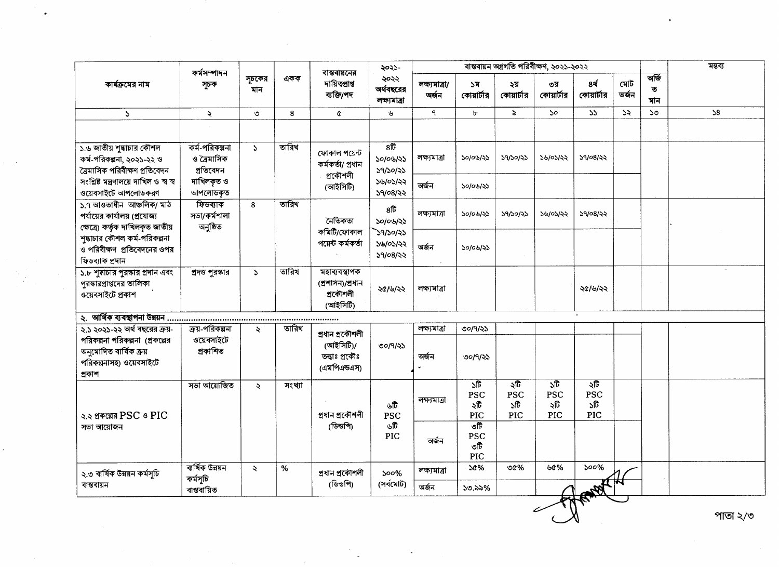|                                                                                               | কৰ্মসম্পাদন<br>সূচক                        | সূচকের<br>মান             | একক    | বান্তবায়নের<br>দায়িতপ্ৰাপ্ত<br>ব্যক্তি/পদ                     | ২০২১-<br>২০২২<br>অর্থবছরের<br>লক্ষ্যমাত্ৰা | ৰাম্ভৰায়ন অগ্ৰগতি পৰিবীক্ষণ, ২০২১-২০২২ |                                                      |                                 |                                                      |                                 |               |                              | মন্তব্য  |
|-----------------------------------------------------------------------------------------------|--------------------------------------------|---------------------------|--------|-----------------------------------------------------------------|--------------------------------------------|-----------------------------------------|------------------------------------------------------|---------------------------------|------------------------------------------------------|---------------------------------|---------------|------------------------------|----------|
| কার্যক্রমের নাম                                                                               |                                            |                           |        |                                                                 |                                            | লক্ষ্যমাত্ৰা/<br>অৰ্জন                  | ১ম<br>কোয়ার্টার                                     | ২য়<br>কোয়ার্টার               | ৩য়<br>কোয়ার্টার                                    | 8ą<br>কোয়ার্টার                | মোট<br>অৰ্জন  | অৰ্জি<br>$\mathbf{A}$<br>মান |          |
| $\mathcal{L}$                                                                                 | $\ddot{\mathbf{z}}$                        | $\circ$                   | 8      | $\alpha$                                                        | $\mathbf{v}$                               | ٩                                       | А                                                    | $\lambda$                       | $\mathcal{S}^{\mathcal{O}}$                          | 55                              | $\mathcal{Z}$ | ১৩                           | 58       |
|                                                                                               |                                            |                           |        |                                                                 |                                            |                                         |                                                      |                                 |                                                      |                                 |               |                              |          |
| ১.৬ জাতীয় শুদ্ধাচার কৌশল<br>কর্ম-পরিকল্পনা, ২০২১-২২ ও<br>ত্রৈমাসিক পরিবীক্ষণ প্রতিবেদন       | কৰ্ম-পরিকল্পনা<br>ও ত্রৈমাসিক<br>প্ৰতিবেদন | $\Delta$                  | তারিখ  | ফোকাল পয়েন্ট<br>কৰ্মকৰ্তা/ প্ৰধান<br>প্ৰকৌশলী<br>(আইসিটি)      | 8 <sup>2</sup><br>১০/০৬/২১<br>39/30/35     | লক্ষ্যমাত্ৰা                            | ১০/০৬/২১                                             | 29/20/22                        | ১৬/০১/২২                                             | ১৭/০৪/২২                        |               |                              |          |
| সংশ্লিষ্ট মন্ত্ৰণালয়ে দাখিল ও স্ব স্ব<br>ওয়েবসাইটে আপলোডকরণ                                 | দাখিলকৃত ও<br>আপলোডকৃত                     |                           |        |                                                                 | ১৬/০১/২২<br>39/08/22                       | অৰ্জন                                   | ১০/০৬/২১                                             |                                 |                                                      |                                 |               |                              |          |
| ১.৭ আওতাধীন আঞ্চলিক/ মাঠ<br>পর্যায়ের কার্যালয় (প্রযোজ্য<br>ক্ষেত্রে) কর্তৃক দাখিলকৃত জাতীয় | ফিডব্যাক<br>সভা/কৰ্মশালা<br>অনুষ্ঠিত       | 8                         | তারিখ  | নৈতিকতা                                                         | 8ft<br>১০/০৬/২১                            | লক্ষ্যমাত্ৰা                            | ১০/০৬/২১                                             | ১৭/১০/২১                        | ১৬/০১/২২                                             | ১৭/০৪/২২                        |               |                              |          |
| শুদ্ধাচার কৌশল কর্ম-পরিকল্পনা<br>ও পরিবীক্ষণ প্রতিবেদনের ওপর<br>ফিডব্যাক প্ৰদান               |                                            |                           |        | কমিটি/ফোকাল<br>পয়েন্ট কৰ্মকৰ্তা                                | 39/20/25<br>১৬/০১/২২<br>39/08/33           | অৰ্জন                                   | ১০/০৬/২১                                             |                                 |                                                      |                                 |               |                              |          |
| ১.৮ শুদ্ধাচার পুরস্কার প্রদান এবং<br>পুরস্কারপ্রাপ্তদের তালিকা<br>ওয়েবসাইটে প্ৰকাশ           | প্রদত্ত পুরস্কার                           | $\mathcal{L}$             | তারিখ  | মহাব্যবস্থাপক<br>(প্ৰশাসন)/প্ৰধান<br>প্ৰকৌশলী<br>(আইসিটি)       | ২৫/৬/২২                                    | লক্ষ্যমাত্ৰা                            |                                                      |                                 |                                                      | ২৫/৬/২২                         |               |                              |          |
|                                                                                               |                                            |                           |        |                                                                 |                                            |                                         |                                                      |                                 |                                                      |                                 |               |                              |          |
| ২.১ ২০২১-২২ অর্থ বছরের ক্রয়-                                                                 | ক্রয়-পরিকল্পনা                            | Q.                        | তারিখ  | প্ৰধান প্ৰকৌশলী<br>(আইসিটি)/<br>তত্ত্বাঃ প্ৰকৌঃ<br>(এমপিএন্ডএস) | ৩০/৭/২১                                    | লক্ষ্যমাত্ৰা                            | ৩০/৭/২১                                              |                                 |                                                      |                                 |               |                              |          |
| পরিকল্পনা পরিকল্পনা (প্রকল্পের<br>অনুমোদিত বাৰ্ষিক ক্ৰয়<br>পরিকল্পনাসহ) ওয়েবসাইটে<br>প্ৰকাশ | ওয়েবসাইটে<br>প্ৰকাশিত                     |                           |        |                                                                 |                                            | অৰ্জন                                   | ৩০/৭/২১                                              |                                 |                                                      |                                 |               |                              |          |
| ২.২ প্রকল্পের PSC ও PIC<br>সভা আয়োজন                                                         | সভা আয়োজিত                                | $\ddot{\mathbf{z}}$       | সংখ্যা | প্ৰধান প্ৰকৌশলী<br>(ডিন্ডপি)                                    | ৬টি<br><b>PSC</b><br>৬টি<br>PIC            | লক্ষ্যমাত্ৰা                            | $\overline{\mathcal{M}}$<br><b>PSC</b><br>২টি<br>PIC | ২টি<br><b>PSC</b><br>১টি<br>PIC | $\overline{\mathcal{E}}$<br><b>PSC</b><br>২টি<br>PIC | ২টি<br>PSC<br>১টি<br><b>PIC</b> |               |                              |          |
|                                                                                               |                                            |                           |        |                                                                 |                                            | অৰ্জন                                   | তটি<br><b>PSC</b><br>৩টি<br>PIC                      |                                 |                                                      |                                 |               |                              |          |
| ২.৩ বাৰ্ষিক উন্নয়ন কৰ্মসূচি<br>বান্তবায়ন                                                    | বাৰ্ষিক উন্নয়ন                            | $\ddot{\sim}$<br>কৰ্মসূচি | $\%$   | প্ৰধান প্ৰকৌশলী<br>(ডিন্ডপি)                                    | $500\%$<br>(সৰ্বমোট)                       | লক্ষ্যমাত্ৰা                            | 50%                                                  | $00\%$                          | ৬৫%                                                  | 500%                            |               |                              |          |
|                                                                                               | বাস্তবায়িত                                |                           |        |                                                                 |                                            | অৰ্জন                                   | ১৩.৯৯%                                               |                                 |                                                      |                                 |               |                              |          |
|                                                                                               |                                            |                           |        |                                                                 |                                            |                                         |                                                      |                                 |                                                      |                                 |               |                              | পাতা ২/৩ |

 $\label{eq:2.1} \frac{\partial \mathcal{L}_{\mathcal{A}}}{\partial \mathcal{L}_{\mathcal{A}}}\left(\frac{\partial \mathcal{L}_{\mathcal{A}}}{\partial \mathcal{L}_{\mathcal{A}}}\right)=\frac{1}{2} \left(\frac{\partial \mathcal{L}_{\mathcal{A}}}{\partial \mathcal{L}_{\mathcal{A}}}\right)^2.$ 

 $\sim$ 

 $\mathcal{O}(\mathcal{A}^{\mathcal{A}})$  .

 $\sim$ 

 $\frac{1}{\sqrt{2}}$ 

 $\sim 10^6$ 

 $\frac{1}{2} \sum_{i=1}^{n} \frac{1}{i!} \sum_{j=1}^{n} \frac{1}{j!} \sum_{j=1}^{n} \frac{1}{j!} \sum_{j=1}^{n} \frac{1}{j!} \sum_{j=1}^{n} \frac{1}{j!} \sum_{j=1}^{n} \frac{1}{j!} \sum_{j=1}^{n} \frac{1}{j!} \sum_{j=1}^{n} \frac{1}{j!} \sum_{j=1}^{n} \frac{1}{j!} \sum_{j=1}^{n} \frac{1}{j!} \sum_{j=1}^{n} \frac{1}{j!} \sum_{j=1}^{n} \frac{1}{$ 

 $\epsilon_{\rm c}$ 

 $\mathbf{v}$